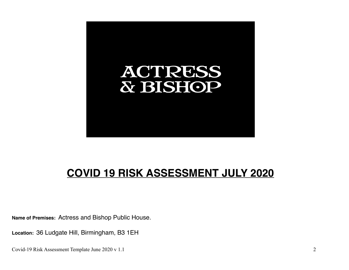

# **COVID 19 RISK ASSESSMENT JULY 2020**

**Name of Premises:** Actress and Bishop Public House.

**Location:** 36 Ludgate Hill, Birmingham, B3 1EH

Covid-19 Risk Assessment Template June 2020 v 1.1 2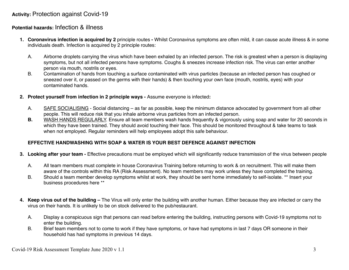## **Activity:** Protection against Covid-19

### **Potential hazards:** Infection & illness

- **1. Coronavirus infection is acquired by 2** principle routesWhilst Coronavirus symptoms are often mild, it can cause acute illness & in some individuals death. Infection is acquired by 2 principle routes:
	- A. Airborne droplets carrying the virus which have been exhaled by an infected person. The risk is greatest when a person is displaying symptoms, but not all infected persons have symptoms. Coughs & sneezes increase infection risk. The virus can enter another person via mouth, nostrils or eyes.
	- B. Contamination of hands from touching a surface contaminated with virus particles (because an infected person has coughed or sneezed over it, or passed on the germs with their hands) & then touching your own face (mouth, nostrils, eyes) with your contaminated hands.
- **2. Protect yourself from infection in 2 principle ways** Assume everyone is infected**:**
	- A. SAFE SOCIALISING Social distancing as far as possible, keep the minimum distance advocated by government from all other people. This will reduce risk that you inhale airborne virus particles from an infected person.
	- **B.** WASH HANDS REGULARLY. Ensure all team members wash hands frequently & vigorously using soap and water for 20 seconds in which they have been trained. They should avoid touching their face. This should be monitored throughout & take teams to task when not employed. Regular reminders will help employees adopt this safe behaviour.

#### **EFFECTIVE HANDWASHING WITH SOAP & WATER IS YOUR BEST DEFENCE AGAINST INFECTION**

- **3.** Looking after your team Effective precautions must be employed which will significantly reduce transmission of the virus between people
	- A. All team members must complete in house Coronavirus Training before returning to work & on recruitment. This will make them aware of the controls within this RA (Risk Assessment). No team members may work unless they have completed the training.
	- B. Should a team member develop symptoms whilst at work, they should be sent home immediately to self-isolate. \*\* Insert your business procedures here \*\*
- **4. Keep virus out of the building** The Virus will only enter the building with another human. Either because they are infected or carry the virus on their hands. It is unlikely to be on stock delivered to the pub/restaurant.
	- A. Display a conspicuous sign that persons can read before entering the building, instructing persons with Covid-19 symptoms not to enter the building.
	- B. Brief team members not to come to work if they have symptoms, or have had symptoms in last 7 days OR someone in their household has had symptoms in previous 14 days.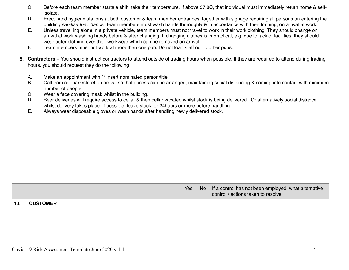- C. Before each team member starts a shift, take their temperature. If above 37.8C, that individual must immediately return home & selfisolate.
- D. Erect hand hygiene stations at both customer & team member entrances, together with signage requiring all persons on entering the building *sanitise their hands*. Team members must wash hands thoroughly & in accordance with their training, on arrival at work.
- E. Unless travelling alone in a private vehicle, team members must not travel to work in their work clothing. They should change on arrival at work washing hands before & after changing. If changing clothes is impractical, e.g. due to lack of facilities, they should wear outer clothing over their workwear which can be removed on arrival.
- F. Team members must not work at more than one pub. Do not loan staff out to other pubs.
- **5. Contractors** You should instruct contractors to attend outside of trading hours when possible. If they are required to attend during trading hours, you should request they do the following:
	- A. Make an appointment with \*\* insert nominated person/title.
	- B. Call from car park/street on arrival so that access can be arranged, maintaining social distancing & coming into contact with minimum number of people.
	- C. Wear a face covering mask whilst in the building.
	- D. Beer deliveries will require access to cellar & then cellar vacated whilst stock is being delivered. Or alternatively social distance whilst delivery takes place. If possible, leave stock for 24hours or more before handling.
	- E. Always wear disposable gloves or wash hands after handling newly delivered stock.

|     |                 | Yes | <b>No</b> | If a control has not been employed, what alternative<br>control / actions taken to resolve |
|-----|-----------------|-----|-----------|--------------------------------------------------------------------------------------------|
| 1.0 | <b>CUSTOMER</b> |     |           |                                                                                            |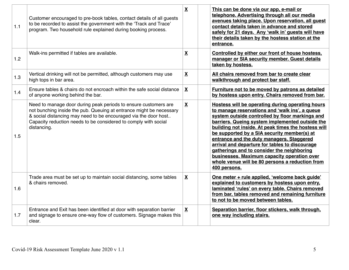| 1.1 | Customer encouraged to pre-book tables, contact details of all guests<br>to be recorded to assist the government with the 'Track and Trace'<br>program. Two household rule explained during booking process.                                                                                | $\mathbf{X}$             | This can be done via our app, e-mail or<br>telephone. Advertising through all our media<br>avenues taking place. Upon reservation, all guest<br>contact details taken in advance and stored<br>safely for 21 days. Any 'walk in' guests will have<br>their details taken by the hostess station at the<br>entrance.                                                                                                                                                                                                                                                           |
|-----|---------------------------------------------------------------------------------------------------------------------------------------------------------------------------------------------------------------------------------------------------------------------------------------------|--------------------------|-------------------------------------------------------------------------------------------------------------------------------------------------------------------------------------------------------------------------------------------------------------------------------------------------------------------------------------------------------------------------------------------------------------------------------------------------------------------------------------------------------------------------------------------------------------------------------|
| 1.2 | Walk-ins permitted if tables are available.                                                                                                                                                                                                                                                 | $\underline{\mathbf{X}}$ | Controlled by either our front of house hostess,<br>manager or SIA security member. Guest details<br>taken by hostess.                                                                                                                                                                                                                                                                                                                                                                                                                                                        |
| 1.3 | Vertical drinking will not be permitted, although customers may use<br>high tops in bar area.                                                                                                                                                                                               | $\overline{\mathbf{X}}$  | All chairs removed from bar to create clear<br>walkthrough and protect bar staff.                                                                                                                                                                                                                                                                                                                                                                                                                                                                                             |
| 1.4 | Ensure tables & chairs do not encroach within the safe social distance<br>of anyone working behind the bar.                                                                                                                                                                                 | $\underline{\mathbf{X}}$ | Furniture not to be moved by patrons as detailed<br>by hostess upon entry. Chairs removed from bar.                                                                                                                                                                                                                                                                                                                                                                                                                                                                           |
| 1.5 | Need to manage door during peak periods to ensure customers are<br>not bunching inside the pub. Queuing at entrance might be necessary<br>& social distancing may need to be encouraged via the door host<br>Capacity reduction needs to be considered to comply with social<br>distancing. | $\mathbf{X}$             | Hostess will be operating during operating hours<br>to manage reservations and 'walk ins', a queue<br>system outside controlled by floor markings and<br>barriers. Queing system implemented outside the<br>building not inside. At peak times the hostess will<br>be supported by a SIA security member(s) at<br>entrance and the duty managers. Staggered<br>arrival and departure for tables to discourage<br>gatherings and to consider the neighboring<br>businesses. Maximum capacity operation over<br>whole venue will be 80 persons a reduction from<br>400 persons. |
| 1.6 | Trade area must be set up to maintain social distancing, some tables<br>& chairs removed.                                                                                                                                                                                                   | X                        | One meter + rule applied, 'welcome back guide'<br>explained to customers by hostess upon entry.<br>laminated 'rules' on every table. Chairs removed<br>from bar, tables removed and remaining furniture<br>to not to be moved between tables.                                                                                                                                                                                                                                                                                                                                 |
| 1.7 | Entrance and Exit has been identified at door with separation barrier<br>and signage to ensure one-way flow of customers. Signage makes this<br>clear.                                                                                                                                      | X                        | Separation barrier, floor stickers, walk through,<br>one way including stairs.                                                                                                                                                                                                                                                                                                                                                                                                                                                                                                |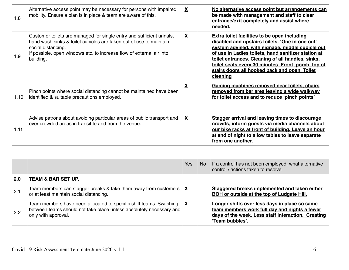| 1.8  | Alternative access point may be necessary for persons with impaired<br>mobility. Ensure a plan is in place & team are aware of this.                                                                                                                   | X | No alternative access point but arrangements can<br>be made with management and staff to clear<br>entrance/exit completely and assist where<br>needed.                                                                                                                                                                                                                                     |
|------|--------------------------------------------------------------------------------------------------------------------------------------------------------------------------------------------------------------------------------------------------------|---|--------------------------------------------------------------------------------------------------------------------------------------------------------------------------------------------------------------------------------------------------------------------------------------------------------------------------------------------------------------------------------------------|
| 1.9  | Customer toilets are managed for single entry and sufficient urinals,<br>hand wash sinks & toilet cubicles are taken out of use to maintain<br>social distancing.<br>If possible, open windows etc. to increase flow of external air into<br>building. | X | <b>Extra toilet facilities to be open including</b><br>disabled and upstairs toilets. 'One in one out'<br>system advised, with signage, middle cubicle out<br>of use in Ladies toilets, hand sanitizer station at<br>toilet entrances. Cleaning of all handles, sinks,<br>toilet seats every 30 minutes. Front, porch, top of<br>stairs doors all hooked back and open. Toilet<br>cleaning |
| 1.10 | Pinch points where social distancing cannot be maintained have been<br>identified & suitable precautions employed.                                                                                                                                     | X | Gaming machines removed near toilets, chairs<br>removed from bar area leaving a wide walkway<br>for toilet access and to reduce 'pinch points'                                                                                                                                                                                                                                             |
| 1.11 | Advise patrons about avoiding particular areas of public transport and<br>over crowded areas in transit to and from the venue.                                                                                                                         | X | <b>Stagger arrival and leaving times to discourage</b><br>crowds, inform guests via media channels about<br>our bike racks at front of building. Leave an hour<br>at end of night to allow tables to leave separate<br>from one another.                                                                                                                                                   |

|                   |                                                                                                                                                                   | <b>Yes</b>   | No l | If a control has not been employed, what alternative<br>control / actions taken to resolve                                                                              |
|-------------------|-------------------------------------------------------------------------------------------------------------------------------------------------------------------|--------------|------|-------------------------------------------------------------------------------------------------------------------------------------------------------------------------|
| 2.0               | <b>TEAM &amp; BAR SET UP.</b>                                                                                                                                     |              |      |                                                                                                                                                                         |
| $\vert 2.1 \vert$ | Team members can stagger breaks & take them away from customers $ \underline{\mathbf{X}} $<br>or at least maintain social distancing.                             |              |      | Staggered breaks implemented and taken either<br><b>BOH</b> or outside at the top of Ludgate Hill.                                                                      |
| $\vert$ 2.2       | Team members have been allocated to specific shift teams. Switching<br>between teams should not take place unless absolutely necessary and<br>only with approval. | $\mathbf{X}$ |      | Longer shifts over less days in place so same<br>team members work full day and nights a fewer<br>days of the week. Less staff interaction. Creating<br>'Team bubbles'. |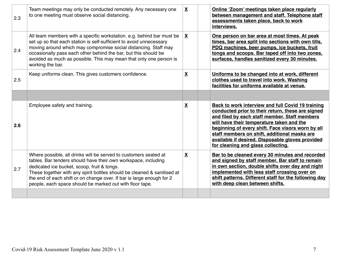| 2.3 | Team meetings may only be conducted remotely. Any necessary one<br>to one meeting must observe social distancing.                                                                                                                                                                                                                                                                                 | X                        | Online 'Zoom' meetings taken place regularly<br>between management and staff. Telephone staff<br>assessments taken place, back to work<br>interviews.                                                                                                                                                                                                                                               |
|-----|---------------------------------------------------------------------------------------------------------------------------------------------------------------------------------------------------------------------------------------------------------------------------------------------------------------------------------------------------------------------------------------------------|--------------------------|-----------------------------------------------------------------------------------------------------------------------------------------------------------------------------------------------------------------------------------------------------------------------------------------------------------------------------------------------------------------------------------------------------|
| 2.4 | All team members with a specific workstation. e.g. behind bar must be<br>set up so that each station is self-sufficient to avoid unnecessary<br>moving around which may compromise social distancing. Staff may<br>occasionally pass each other behind the bar, but this should be<br>avoided as much as possible. This may mean that only one person is<br>working the bar.                      | X                        | One person on bar area at most times. At peak<br>times, bar area split into sections with own tills,<br>PDQ machines, beer pumps, ice buckets, fruit<br>tongs and scoops. Bar taped off into two zones,<br>surfaces, handles sanitized every 30 minutes.                                                                                                                                            |
| 2.5 | Keep uniforms clean. This gives customers confidence.                                                                                                                                                                                                                                                                                                                                             | $\overline{\mathbf{X}}$  | Uniforms to be changed into at work, different<br>clothes used to travel into work. Washing<br>facilities for uniforms available at venue.                                                                                                                                                                                                                                                          |
|     |                                                                                                                                                                                                                                                                                                                                                                                                   |                          |                                                                                                                                                                                                                                                                                                                                                                                                     |
|     |                                                                                                                                                                                                                                                                                                                                                                                                   |                          |                                                                                                                                                                                                                                                                                                                                                                                                     |
| 2.6 | Employee safety and training.                                                                                                                                                                                                                                                                                                                                                                     | $\mathbf{\underline{X}}$ | Back to work interview and full Covid 19 training<br>conducted prior to their return, these are signed<br>and filed by each staff member. Staff members<br>will have their temperature taken and the<br>beginning of every shift. Face visors worn by all<br>staff members on shift, additional masks are<br>available if desired. Disposable gloves provided<br>for cleaning and glass collecting. |
| 2.7 | Where possible, all drinks will be served to customers seated at<br>tables. Bar tenders should have their own workspace, including<br>dedicated ice bucket, scoop, fruit & tongs.<br>These together with any spirit bottles should be cleaned & sanitised at<br>the end of each shift or on change over. If bar is large enough for 2<br>people, each space should be marked out with floor tape. | $\mathbf{\underline{X}}$ | Bar to be cleaned every 30 minutes and recorded<br>and signed by staff member. Bar staff to remain<br>in own section, double shifts over day and night<br>implemented with less staff crossing over on<br>shift patterns. Different staff for the following day<br>with deep clean between shifts.                                                                                                  |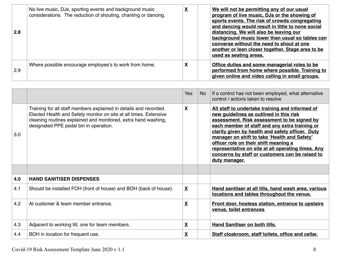| 2.8 | No live music, DJs, sporting events and background music<br>considerations. The reduction of shouting, chanting or dancing. | $\underline{\mathbf{X}}$ | We will not be permitting any of our usual<br>program of live music, DJs or the showing of<br>sports events. The risk of crowds congregating<br>and dancing would result in little to none social<br>distancing. We will also be leaving our<br>background music lower than usual so tables can<br>converse without the need to shout at one<br>another or lean closer together. Stage area to be<br>used as seating areas. |
|-----|-----------------------------------------------------------------------------------------------------------------------------|--------------------------|-----------------------------------------------------------------------------------------------------------------------------------------------------------------------------------------------------------------------------------------------------------------------------------------------------------------------------------------------------------------------------------------------------------------------------|
| 2.9 | Where possible encourage employee's to work from home.                                                                      | X                        | Office duties and some managerial roles to be<br>performed from home where possible. Training to<br>given online and video calling in small groups.                                                                                                                                                                                                                                                                         |

|     |                                                                                                                                                                                                                                                    | <b>Yes</b>              | No. | If a control has not been employed, what alternative<br>control / actions taken to resolve                                                                                                                                                                                                                                                                                                                                                                         |
|-----|----------------------------------------------------------------------------------------------------------------------------------------------------------------------------------------------------------------------------------------------------|-------------------------|-----|--------------------------------------------------------------------------------------------------------------------------------------------------------------------------------------------------------------------------------------------------------------------------------------------------------------------------------------------------------------------------------------------------------------------------------------------------------------------|
| 3.0 | Training for all staff members explained in details and recorded.<br>Elected Health and Safety monitor on site at all times. Extensive<br>cleaning routines explained and monitored, extra hand washing,<br>designated PPE pedal bin in operation. | $\mathbf{X}$            |     | All staff to undertake training and informed of<br>new guidelines as outlined in this risk<br>assessment. Risk assessment to be signed by<br>each member of staff and any extra training or<br>clarity given by health and safety officer. Duty<br>manager on shift to take 'Health and Safety'<br>officer role on their shift meaning a<br>representative on site at all operating times. Any<br>concerns by staff or customers can be raised to<br>duty manager. |
|     |                                                                                                                                                                                                                                                    |                         |     |                                                                                                                                                                                                                                                                                                                                                                                                                                                                    |
| 4.0 | <b>HAND SANITISER DISPENSES</b>                                                                                                                                                                                                                    |                         |     |                                                                                                                                                                                                                                                                                                                                                                                                                                                                    |
| 4.1 | Should be installed FOH (front of house) and BOH (back of house).                                                                                                                                                                                  | X                       |     | Hand sanitiser at all tills, hand wash area, various<br>locations and tables throughout the venue.                                                                                                                                                                                                                                                                                                                                                                 |
| 4.2 | At customer & team member entrance.                                                                                                                                                                                                                | $\overline{\mathbf{X}}$ |     | <b>Front door, hostess station, entrance to upstairs</b><br>venue, toilet entrances                                                                                                                                                                                                                                                                                                                                                                                |
| 4.3 | Adjacent to working till, one for team members.                                                                                                                                                                                                    | $\overline{\mathbf{X}}$ |     | Hand Sanitiser on both tills.                                                                                                                                                                                                                                                                                                                                                                                                                                      |
| 4.4 | BOH in location for frequent use.                                                                                                                                                                                                                  | $\overline{\mathbf{X}}$ |     | Staff cloakroom, staff toilets, office and cellar.                                                                                                                                                                                                                                                                                                                                                                                                                 |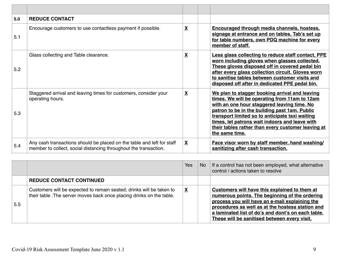| 5.0 | <b>REDUCE CONTACT</b>                                                                                                                      |                         |                                                                                                                                                                                                                                                                                                                                                                              |
|-----|--------------------------------------------------------------------------------------------------------------------------------------------|-------------------------|------------------------------------------------------------------------------------------------------------------------------------------------------------------------------------------------------------------------------------------------------------------------------------------------------------------------------------------------------------------------------|
| 5.1 | Encourage customers to use contactless payment if possible.                                                                                | X                       | <b>Encouraged through media channels, hostess,</b><br>signage at entrance and on tables. Tab's set up<br>for table numbers, own PDQ machine for every<br>member of staff.                                                                                                                                                                                                    |
| 5.2 | Glass collecting and Table clearance.                                                                                                      | $\overline{\mathbf{X}}$ | Less glass collecting to reduce staff contact, PPE<br>worn including gloves when glasses collected.<br>These gloves disposed off in covered pedal bin<br>after every glass collection circuit. Gloves worn<br>to sanitise tables between customer visits and<br>disposed off after in dedicated PPE pedal bin.                                                               |
| 5.3 | Staggered arrival and leaving times for customers, consider your<br>operating hours.                                                       | X                       | We plan to stagger booking arrival and leaving<br>times. We will be operating from 11am to 12am<br>with an one hour staggered leaving time. No<br>patron to be in the building past 1am. Public<br>transport limited so to anticipate taxi waiting<br>times, let patrons wait indoors and leave with<br>their tables rather than every customer leaving at<br>the same time. |
| 5.4 | Any cash transactions should be placed on the table and left for staff<br>member to collect, social distancing throughout the transaction. | X                       | Face visor worn by staff member, hand washing/<br>sanitizing after cash transaction.                                                                                                                                                                                                                                                                                         |

|     |                                                                                                                                               | Yes | No. | If a control has not been employed, what alternative<br>control / actions taken to resolve                                                                                                                                                                                                                  |
|-----|-----------------------------------------------------------------------------------------------------------------------------------------------|-----|-----|-------------------------------------------------------------------------------------------------------------------------------------------------------------------------------------------------------------------------------------------------------------------------------------------------------------|
|     | <b>REDUCE CONTACT CONTINUED</b>                                                                                                               |     |     |                                                                                                                                                                                                                                                                                                             |
| 5.5 | Customers will be expected to remain seated; drinks will be taken to<br>their table . The server moves back once placing drinks on the table. | X   |     | Customers will have this explained to them at<br>numerous points. The beginning of the ordering<br>process you will have an e-mail explaining the<br>procedures as well as at the hostess station and<br>a laminated list of do's and dont's on each table.<br>These will be sanitised between every visit. |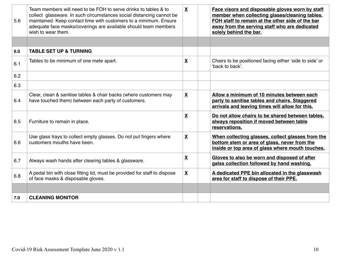| 5.6 | Team members will need to be FOH to serve drinks to tables & to<br>collect glassware. In such circumstances social distancing cannot be<br>maintained. Keep contact time with customers to a minimum. Ensure<br>adequate face masks/coverings are available should team members<br>wish to wear them. | X                        | Face visors and disposable gloves worn by staff<br>member when collecting glases/cleaning tables.<br>FOH staff to remain at the other side of the bar<br>away from the serving staff who are dedicated<br>solely behind the bar. |
|-----|-------------------------------------------------------------------------------------------------------------------------------------------------------------------------------------------------------------------------------------------------------------------------------------------------------|--------------------------|----------------------------------------------------------------------------------------------------------------------------------------------------------------------------------------------------------------------------------|
|     |                                                                                                                                                                                                                                                                                                       |                          |                                                                                                                                                                                                                                  |
| 6.0 | <b>TABLE SET UP &amp; TURNING</b>                                                                                                                                                                                                                                                                     |                          |                                                                                                                                                                                                                                  |
| 6.1 | Tables to be minimum of one mete apart.                                                                                                                                                                                                                                                               | $\underline{\mathbf{X}}$ | Chairs to be positioned facing either 'side to side' or<br>'back to back'.                                                                                                                                                       |
| 6.2 |                                                                                                                                                                                                                                                                                                       |                          |                                                                                                                                                                                                                                  |
| 6.3 |                                                                                                                                                                                                                                                                                                       |                          |                                                                                                                                                                                                                                  |
| 6.4 | Clear, clean & sanitise tables & chair backs (where customers may<br>have touched them) between each party of customers.                                                                                                                                                                              | $\underline{\mathbf{X}}$ | Allow s minimum of 10 minutes between each<br>party to sanitise tables and chairs. Staggered<br>arrivals and leaving times will allow for this.                                                                                  |
| 6.5 | Furniture to remain in place.                                                                                                                                                                                                                                                                         | $\mathbf{X}$             | Do not allow chairs to be shared between tables,<br>always reposition if moved between table<br>reservations.                                                                                                                    |
| 6.6 | Use glass trays to collect empty glasses. Do not put fingers where<br>customers mouths have been.                                                                                                                                                                                                     | $\overline{\mathbf{X}}$  | When collecting glasses, collect glasses from the<br>bottom stem or area of glass, never from the<br>inside or top area of glass where mouth touches.                                                                            |
| 6.7 | Always wash hands after clearing tables & glassware.                                                                                                                                                                                                                                                  | $\underline{\mathbf{X}}$ | Gloves to also be worn and disposed of after<br>galss collection followed by hand washing.                                                                                                                                       |
| 6.8 | A pedal bin with close fitting lid, must be provided for staff to dispose<br>of face masks & disposable gloves.                                                                                                                                                                                       | $\underline{\mathbf{X}}$ | A dedicated PPE bin allocated in the glasswash<br>area for staff to dispose of their PPE.                                                                                                                                        |
|     |                                                                                                                                                                                                                                                                                                       |                          |                                                                                                                                                                                                                                  |
| 7.0 | <b>CLEANING MONITOR</b>                                                                                                                                                                                                                                                                               |                          |                                                                                                                                                                                                                                  |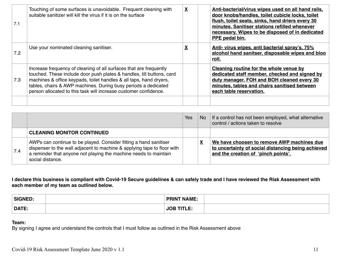| 7.1 | Touching of some surfaces is unavoidable. Frequent cleaning with<br>suitable sanitizer will kill the virus if it is on the surface                                                                                                                                                                                                                      | $\overline{\mathbf{X}}$ | Anti-bacterial/virus wipes used on all hand rails,<br>door knobs/handles, toilet cubicle locks, toilet<br>flush, toilet seats, sinks, hand driers every 30<br>minutes. Sanitiser stations refilled whenever<br>necessary. Wipes to be disposed of in dedicated<br>PPE pedal bin. |
|-----|---------------------------------------------------------------------------------------------------------------------------------------------------------------------------------------------------------------------------------------------------------------------------------------------------------------------------------------------------------|-------------------------|----------------------------------------------------------------------------------------------------------------------------------------------------------------------------------------------------------------------------------------------------------------------------------|
| 7.2 | Use your nominated cleaning sanitiser.                                                                                                                                                                                                                                                                                                                  | X                       | Anti- virus wipes, anti bacterial spray's, 75%<br>alcohol hand sanitser, disposable wipes and bloo<br>roll.                                                                                                                                                                      |
| 7.3 | Increase frequency of cleaning of all surfaces that are frequently<br>touched. These include door push plates & handles, till buttons, card<br>machines & office keypads, toilet handles & all taps, hand dryers,<br>tables, chairs & AWP machines. During busy periods a dedicated<br>person allocated to this task will increase customer confidence. |                         | Cleaning routine for the whole venue by<br>dedicated staff member, checked and signed by<br>duty manager. FOH and BOH cleaned every 30<br>minutes, tables and chairs sanitised between<br>each table reservation.                                                                |

|     |                                                                                                                                                                                                                                      | Yes | No. | If a control has not been employed, what alternative<br>control / actions taken to resolve                                              |
|-----|--------------------------------------------------------------------------------------------------------------------------------------------------------------------------------------------------------------------------------------|-----|-----|-----------------------------------------------------------------------------------------------------------------------------------------|
|     | <b>CLEANING MONITOR CONTINUED</b>                                                                                                                                                                                                    |     |     |                                                                                                                                         |
| 7.4 | AWPs can continue to be played. Consider fitting a hand sanitiser<br>dispenser to the wall adjacent to machine & applying tape to floor with<br>a reminder that anyone not playing the machine needs to maintain<br>social distance. |     |     | We have choosen to remove AWP machines due<br>to uncertainty of social distancing being achieved<br>and the creation of 'pinch points'. |

**I declare this business is compliant with Covid-19 Secure guidelines & can safely trade and I have reviewed the Risk Assessment with each member of my team as outlined below.**

| <b>SIGNED:</b> | <b>PRINT NAME:</b>         |  |
|----------------|----------------------------|--|
| DATE:          | TITI E.<br>$\overline{10}$ |  |

#### **Team:**

By signing I agree and understand the controls that I must follow as outlined in the Risk Assessment above